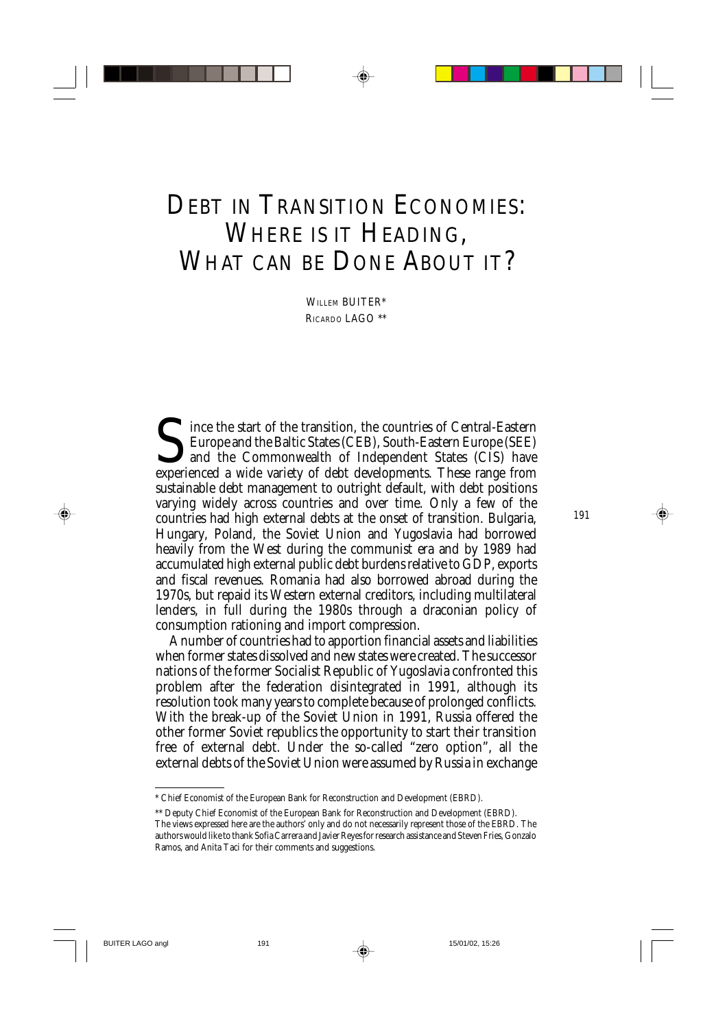# DEBT IN TRANSITION ECONOMIES: WHERE IS IT HEADING, WHAT CAN BE DONE ABOUT IT?

WILLEM BUITER\* RICARDO LAGO \*\*

Since the start of the transition, the countries of Central-Eastern<br>Europe and the Baltic States (CEB), South-Eastern Europe (SEE)<br>and the Commonwealth of Independent States (CIS) have<br>experienced a wide variety of debt de Europe and the Baltic States (CEB), South-Eastern Europe (SEE) and the Commonwealth of Independent States (CIS) have experienced a wide variety of debt developments. These range from sustainable debt management to outright default, with debt positions varying widely across countries and over time. Only a few of the countries had high external debts at the onset of transition. Bulgaria, Hungary, Poland, the Soviet Union and Yugoslavia had borrowed heavily from the West during the communist era and by 1989 had accumulated high external public debt burdens relative to GDP, exports and fiscal revenues. Romania had also borrowed abroad during the 1970s, but repaid its Western external creditors, including multilateral lenders, in full during the 1980s through a draconian policy of consumption rationing and import compression.

A number of countries had to apportion financial assets and liabilities when former states dissolved and new states were created. The successor nations of the former Socialist Republic of Yugoslavia confronted this problem after the federation disintegrated in 1991, although its resolution took many years to complete because of prolonged conflicts. With the break-up of the Soviet Union in 1991, Russia offered the other former Soviet republics the opportunity to start their transition free of external debt. Under the so-called "zero option", all the external debts of the Soviet Union were assumed by Russia in exchange

<sup>\*</sup> Chief Economist of the European Bank for Reconstruction and Development (EBRD).

<sup>\*\*</sup> Deputy Chief Economist of the European Bank for Reconstruction and Development (EBRD).

The views expressed here are the authors' only and do not necessarily represent those of the EBRD. The authors would like to thank Sofia Carrera and Javier Reyes for research assistance and Steven Fries, Gonzalo Ramos, and Anita Taci for their comments and suggestions.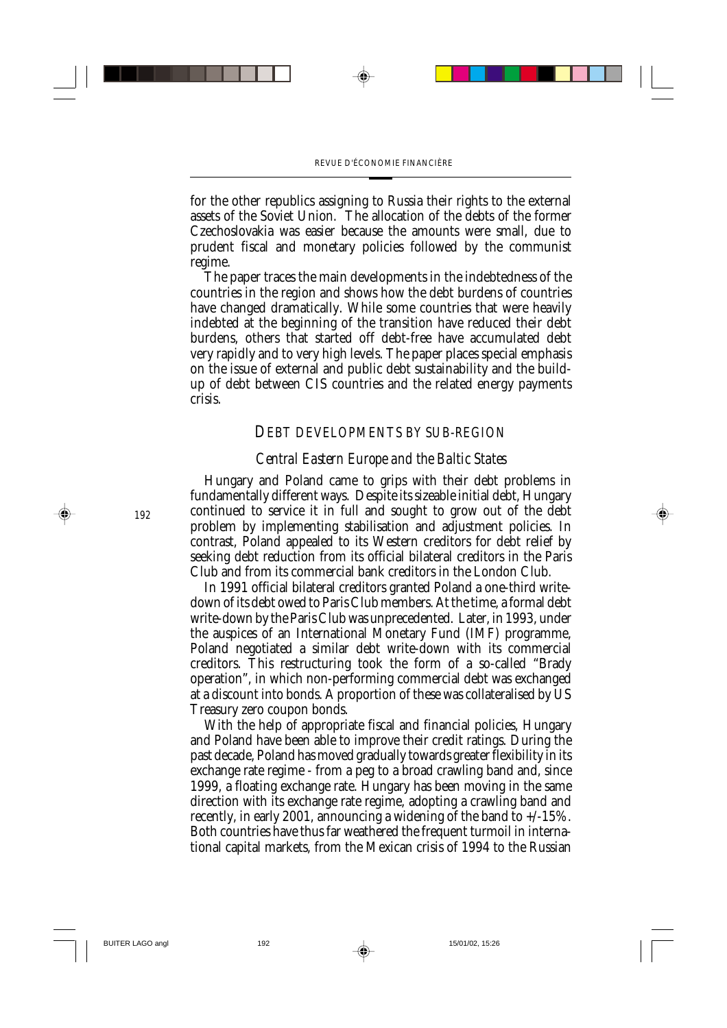for the other republics assigning to Russia their rights to the external assets of the Soviet Union. The allocation of the debts of the former Czechoslovakia was easier because the amounts were small, due to prudent fiscal and monetary policies followed by the communist regime.

The paper traces the main developments in the indebtedness of the countries in the region and shows how the debt burdens of countries have changed dramatically. While some countries that were heavily indebted at the beginning of the transition have reduced their debt burdens, others that started off debt-free have accumulated debt very rapidly and to very high levels. The paper places special emphasis on the issue of external and public debt sustainability and the buildup of debt between CIS countries and the related energy payments crisis.

#### *DEBT DEVELOPMENTS BY SUB-REGION*

#### *Central Eastern Europe and the Baltic States*

Hungary and Poland came to grips with their debt problems in fundamentally different ways. Despite its sizeable initial debt, Hungary continued to service it in full and sought to grow out of the debt problem by implementing stabilisation and adjustment policies. In contrast, Poland appealed to its Western creditors for debt relief by seeking debt reduction from its official bilateral creditors in the Paris Club and from its commercial bank creditors in the London Club.

In 1991 official bilateral creditors granted Poland a one-third writedown of its debt owed to Paris Club members. At the time, a formal debt write-down by the Paris Club was unprecedented. Later, in 1993, under the auspices of an International Monetary Fund (IMF) programme, Poland negotiated a similar debt write-down with its commercial creditors. This restructuring took the form of a so-called "Brady operation", in which non-performing commercial debt was exchanged at a discount into bonds. A proportion of these was collateralised by US Treasury zero coupon bonds.

With the help of appropriate fiscal and financial policies, Hungary and Poland have been able to improve their credit ratings. During the past decade, Poland has moved gradually towards greater flexibility in its exchange rate regime - from a peg to a broad crawling band and, since 1999, a floating exchange rate. Hungary has been moving in the same direction with its exchange rate regime, adopting a crawling band and recently, in early 2001, announcing a widening of the band to +/-15%. Both countries have thus far weathered the frequent turmoil in international capital markets, from the Mexican crisis of 1994 to the Russian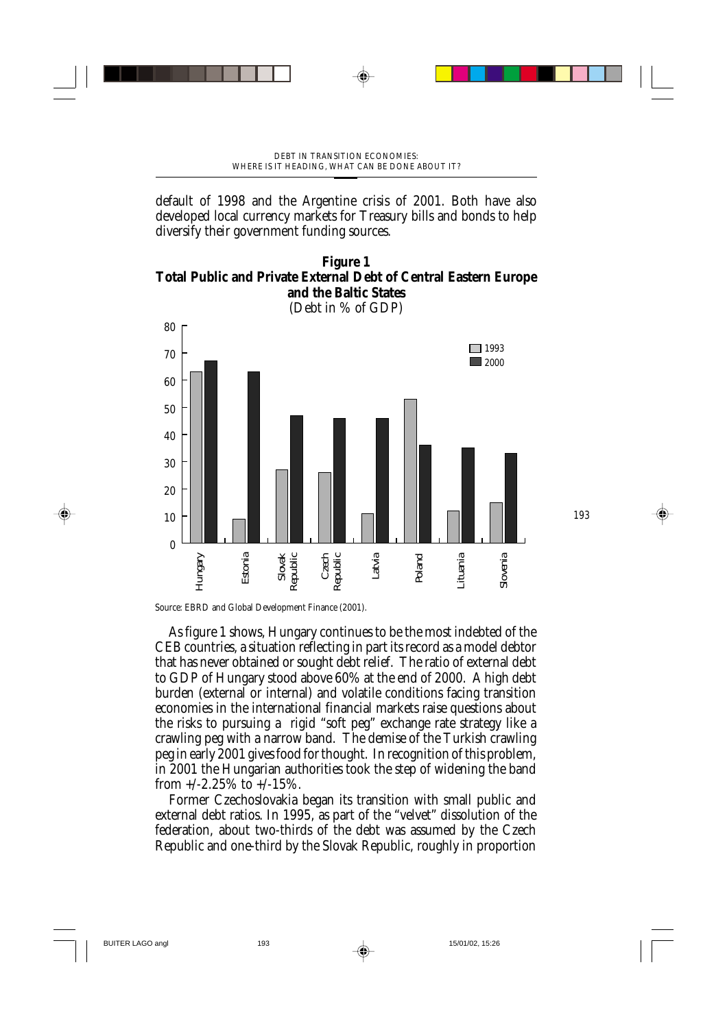default of 1998 and the Argentine crisis of 2001. Both have also developed local currency markets for Treasury bills and bonds to help diversify their government funding sources.



(Debt in % of GDP)



Source: EBRD and Global Development Finance (2001).

As figure 1 shows, Hungary continues to be the most indebted of the CEB countries, a situation reflecting in part its record as a model debtor that has never obtained or sought debt relief. The ratio of external debt to GDP of Hungary stood above 60% at the end of 2000. A high debt burden (external or internal) and volatile conditions facing transition economies in the international financial markets raise questions about the risks to pursuing a rigid "soft peg" exchange rate strategy like a crawling peg with a narrow band. The demise of the Turkish crawling peg in early 2001 gives food for thought. In recognition of this problem, in 2001 the Hungarian authorities took the step of widening the band from  $+/-2.25\%$  to  $+/-15\%$ .

Former Czechoslovakia began its transition with small public and external debt ratios. In 1995, as part of the "velvet" dissolution of the federation, about two-thirds of the debt was assumed by the Czech Republic and one-third by the Slovak Republic, roughly in proportion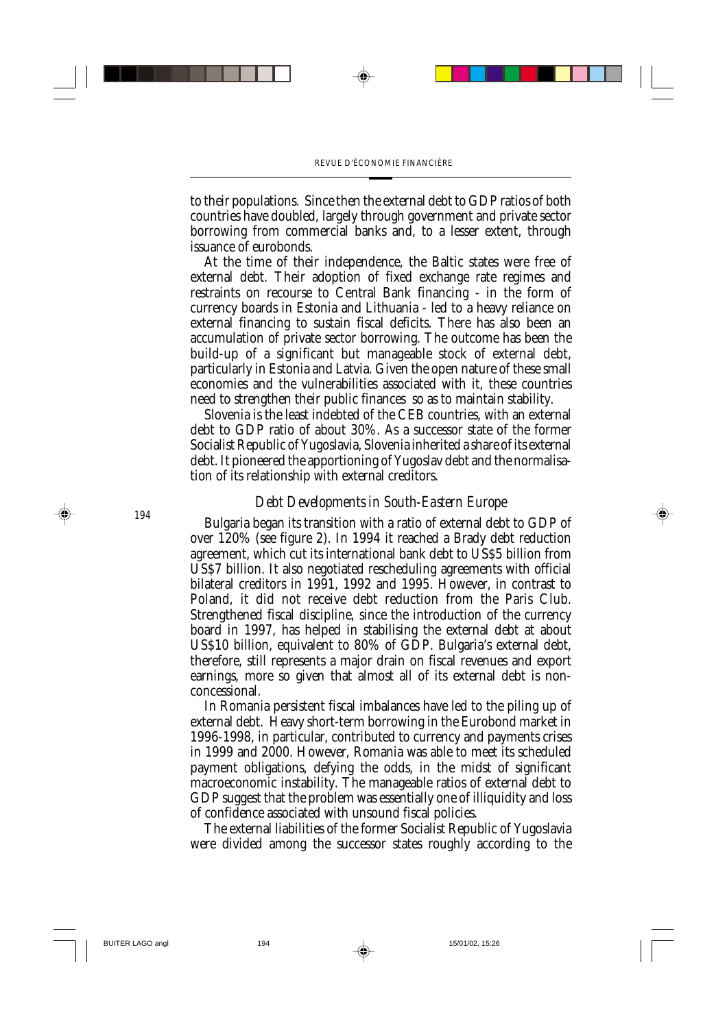to their populations. Since then the external debt to GDP ratios of both countries have doubled, largely through government and private sector borrowing from commercial banks and, to a lesser extent, through issuance of eurobonds.

At the time of their independence, the Baltic states were free of external debt. Their adoption of fixed exchange rate regimes and restraints on recourse to Central Bank financing - in the form of currency boards in Estonia and Lithuania - led to a heavy reliance on external financing to sustain fiscal deficits. There has also been an accumulation of private sector borrowing. The outcome has been the build-up of a significant but manageable stock of external debt, particularly in Estonia and Latvia. Given the open nature of these small economies and the vulnerabilities associated with it, these countries need to strengthen their public finances so as to maintain stability.

Slovenia is the least indebted of the CEB countries, with an external debt to GDP ratio of about 30%. As a successor state of the former Socialist Republic of Yugoslavia, Slovenia inherited a share of its external debt. It pioneered the apportioning of Yugoslav debt and the normalisation of its relationship with external creditors.

## *Debt Developments in South-Eastern Europe*

Bulgaria began its transition with a ratio of external debt to GDP of over 120% (see figure 2). In 1994 it reached a Brady debt reduction agreement, which cut its international bank debt to US\$5 billion from US\$7 billion. It also negotiated rescheduling agreements with official bilateral creditors in 1991, 1992 and 1995. However, in contrast to Poland, it did not receive debt reduction from the Paris Club. Strengthened fiscal discipline, since the introduction of the currency board in 1997, has helped in stabilising the external debt at about US\$10 billion, equivalent to 80% of GDP. Bulgaria's external debt, therefore, still represents a major drain on fiscal revenues and export earnings, more so given that almost all of its external debt is nonconcessional.

In Romania persistent fiscal imbalances have led to the piling up of external debt. Heavy short-term borrowing in the Eurobond market in 1996-1998, in particular, contributed to currency and payments crises in 1999 and 2000. However, Romania was able to meet its scheduled payment obligations, defying the odds, in the midst of significant macroeconomic instability. The manageable ratios of external debt to GDP suggest that the problem was essentially one of illiquidity and loss of confidence associated with unsound fiscal policies.

The external liabilities of the former Socialist Republic of Yugoslavia were divided among the successor states roughly according to the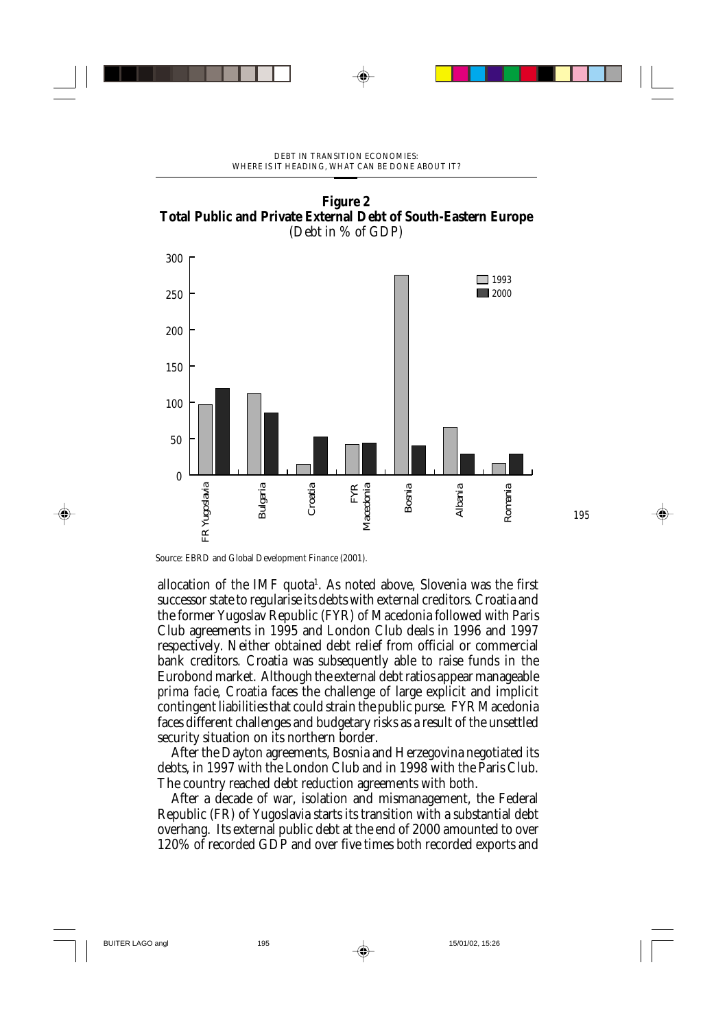



Source: EBRD and Global Development Finance (2001).

allocation of the IMF quota<sup>1</sup>. As noted above, Slovenia was the first successor state to regularise its debts with external creditors. Croatia and the former Yugoslav Republic (FYR) of Macedonia followed with Paris Club agreements in 1995 and London Club deals in 1996 and 1997 respectively. Neither obtained debt relief from official or commercial bank creditors. Croatia was subsequently able to raise funds in the Eurobond market. Although the external debt ratios appear manageable *prima facie*, Croatia faces the challenge of large explicit and implicit contingent liabilities that could strain the public purse. FYR Macedonia faces different challenges and budgetary risks as a result of the unsettled security situation on its northern border.

After the Dayton agreements, Bosnia and Herzegovina negotiated its debts, in 1997 with the London Club and in 1998 with the Paris Club. The country reached debt reduction agreements with both.

After a decade of war, isolation and mismanagement, the Federal Republic (FR) of Yugoslavia starts its transition with a substantial debt overhang. Its external public debt at the end of 2000 amounted to over 120% of recorded GDP and over five times both recorded exports and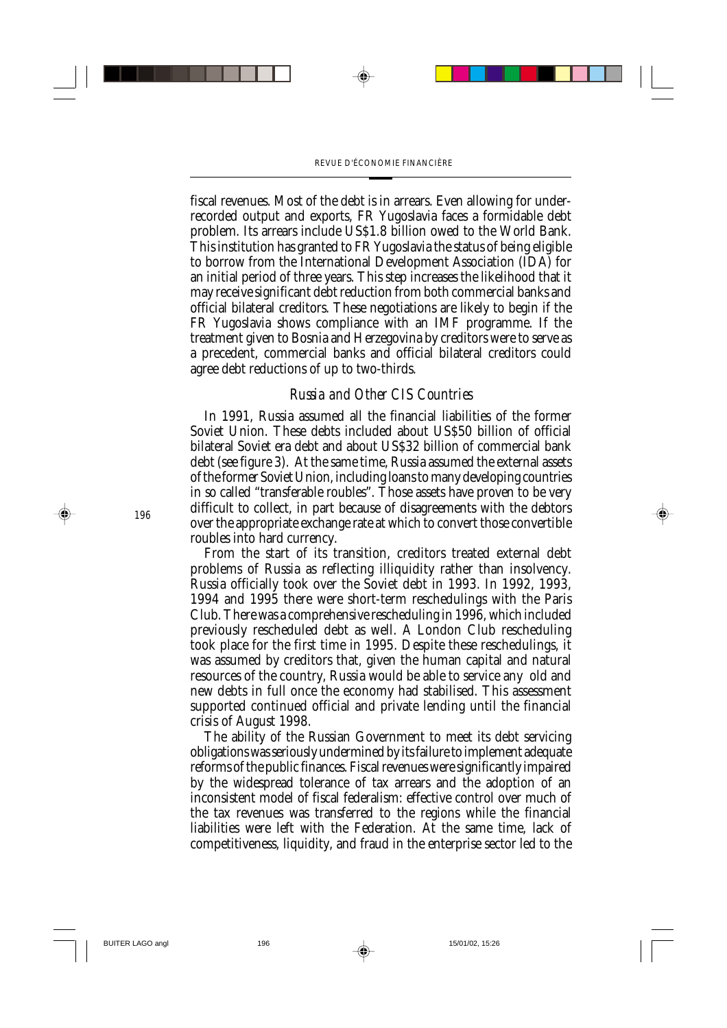fiscal revenues. Most of the debt is in arrears. Even allowing for underrecorded output and exports, FR Yugoslavia faces a formidable debt problem. Its arrears include US\$1.8 billion owed to the World Bank. This institution has granted to FR Yugoslavia the status of being eligible to borrow from the International Development Association (IDA) for an initial period of three years. This step increases the likelihood that it may receive significant debt reduction from both commercial banks and official bilateral creditors. These negotiations are likely to begin if the FR Yugoslavia shows compliance with an IMF programme. If the treatment given to Bosnia and Herzegovina by creditors were to serve as a precedent, commercial banks and official bilateral creditors could agree debt reductions of up to two-thirds.

#### *Russia and Other CIS Countries*

In 1991, Russia assumed all the financial liabilities of the former Soviet Union. These debts included about US\$50 billion of official bilateral Soviet era debt and about US\$32 billion of commercial bank debt (see figure 3). At the same time, Russia assumed the external assets of the former Soviet Union, including loans to many developing countries in so called "transferable roubles". Those assets have proven to be very difficult to collect, in part because of disagreements with the debtors over the appropriate exchange rate at which to convert those convertible roubles into hard currency.

From the start of its transition, creditors treated external debt problems of Russia as reflecting illiquidity rather than insolvency. Russia officially took over the Soviet debt in 1993. In 1992, 1993, 1994 and 1995 there were short-term reschedulings with the Paris Club. There was a comprehensive rescheduling in 1996, which included previously rescheduled debt as well. A London Club rescheduling took place for the first time in 1995. Despite these reschedulings, it was assumed by creditors that, given the human capital and natural resources of the country, Russia would be able to service any old and new debts in full once the economy had stabilised. This assessment supported continued official and private lending until the financial crisis of August 1998.

The ability of the Russian Government to meet its debt servicing obligations was seriously undermined by its failure to implement adequate reforms of the public finances. Fiscal revenues were significantly impaired by the widespread tolerance of tax arrears and the adoption of an inconsistent model of fiscal federalism: effective control over much of the tax revenues was transferred to the regions while the financial liabilities were left with the Federation. At the same time, lack of competitiveness, liquidity, and fraud in the enterprise sector led to the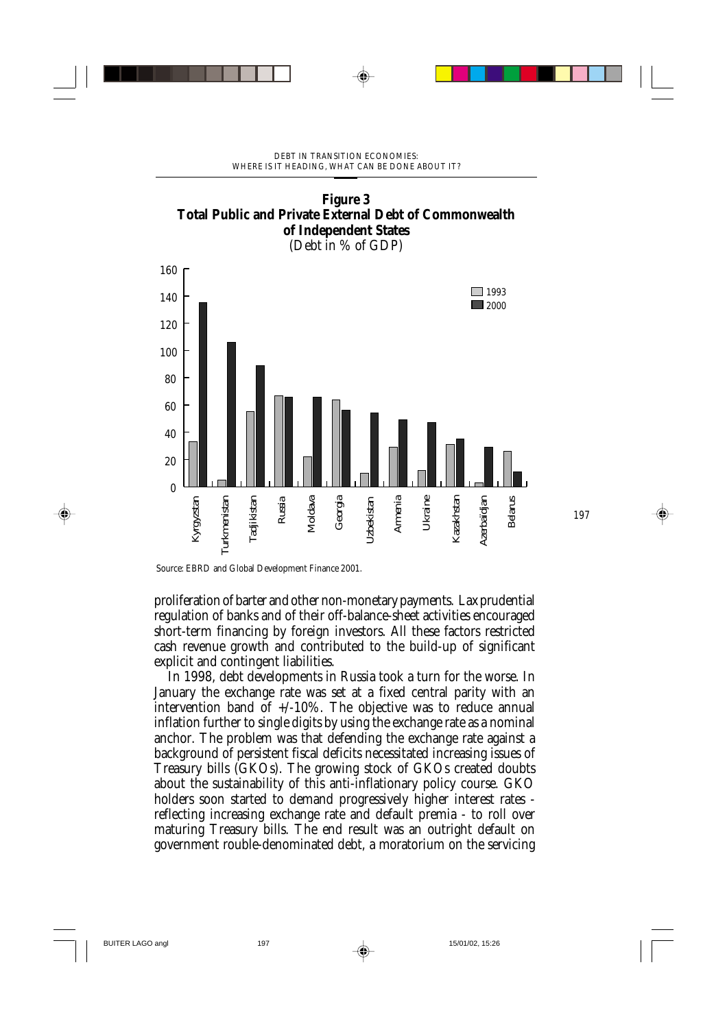

Source: EBRD and Global Development Finance 2001.

proliferation of barter and other non-monetary payments. Lax prudential regulation of banks and of their off-balance-sheet activities encouraged short-term financing by foreign investors. All these factors restricted cash revenue growth and contributed to the build-up of significant explicit and contingent liabilities.

In 1998, debt developments in Russia took a turn for the worse. In January the exchange rate was set at a fixed central parity with an intervention band of  $+/-10\%$ . The objective was to reduce annual inflation further to single digits by using the exchange rate as a nominal anchor. The problem was that defending the exchange rate against a background of persistent fiscal deficits necessitated increasing issues of Treasury bills (GKOs). The growing stock of GKOs created doubts about the sustainability of this anti-inflationary policy course. GKO holders soon started to demand progressively higher interest rates reflecting increasing exchange rate and default premia - to roll over maturing Treasury bills. The end result was an outright default on government rouble-denominated debt, a moratorium on the servicing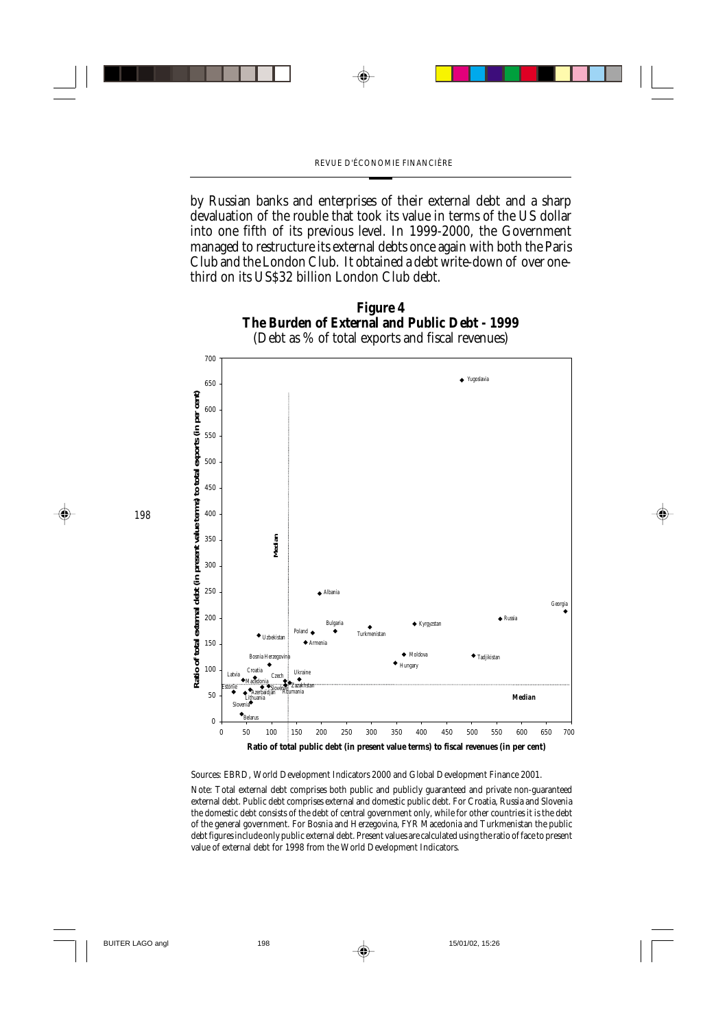by Russian banks and enterprises of their external debt and a sharp devaluation of the rouble that took its value in terms of the US dollar into one fifth of its previous level. In 1999-2000, the Government managed to restructure its external debts once again with both the Paris Club and the London Club. It obtained a debt write-down of over onethird on its US\$32 billion London Club debt.



Sources: EBRD, World Development Indicators 2000 and Global Development Finance 2001.

Note: Total external debt comprises both public and publicly guaranteed and private non-guaranteed external debt. Public debt comprises external and domestic public debt. For Croatia, Russia and Slovenia the domestic debt consists of the debt of central government only, while for other countries it is the debt of the general government. For Bosnia and Herzegovina, FYR Macedonia and Turkmenistan the public debt figures include only public external debt. Present values are calculated using the ratio of face to present value of external debt for 1998 from the World Development Indicators.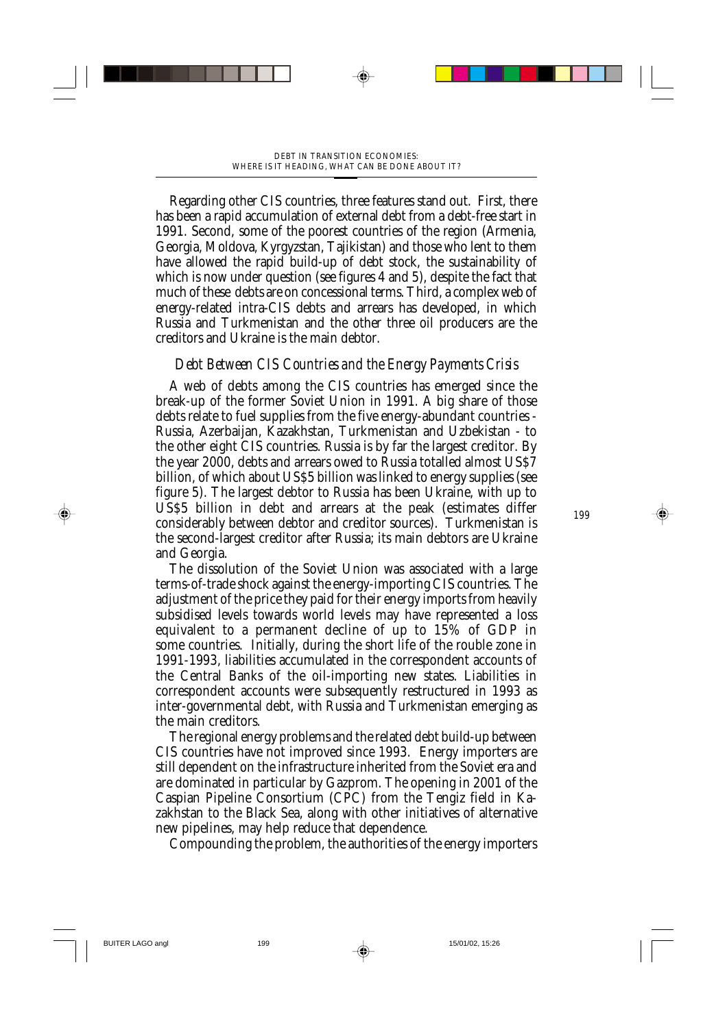Regarding other CIS countries, three features stand out. First, there has been a rapid accumulation of external debt from a debt-free start in 1991. Second, some of the poorest countries of the region (Armenia, Georgia, Moldova, Kyrgyzstan, Tajikistan) and those who lent to them have allowed the rapid build-up of debt stock, the sustainability of which is now under question (see figures 4 and 5), despite the fact that much of these debts are on concessional terms. Third, a complex web of energy-related intra-CIS debts and arrears has developed, in which Russia and Turkmenistan and the other three oil producers are the creditors and Ukraine is the main debtor.

# *Debt Between CIS Countries and the Energy Payments Crisis*

A web of debts among the CIS countries has emerged since the break-up of the former Soviet Union in 1991. A big share of those debts relate to fuel supplies from the five energy-abundant countries - Russia, Azerbaijan, Kazakhstan, Turkmenistan and Uzbekistan - to the other eight CIS countries. Russia is by far the largest creditor. By the year 2000, debts and arrears owed to Russia totalled almost US\$7 billion, of which about US\$5 billion was linked to energy supplies (see figure 5). The largest debtor to Russia has been Ukraine, with up to US\$5 billion in debt and arrears at the peak (estimates differ considerably between debtor and creditor sources). Turkmenistan is the second-largest creditor after Russia; its main debtors are Ukraine and Georgia.

The dissolution of the Soviet Union was associated with a large terms-of-trade shock against the energy-importing CIS countries. The adjustment of the price they paid for their energy imports from heavily subsidised levels towards world levels may have represented a loss equivalent to a permanent decline of up to 15% of GDP in some countries. Initially, during the short life of the rouble zone in 1991-1993, liabilities accumulated in the correspondent accounts of the Central Banks of the oil-importing new states. Liabilities in correspondent accounts were subsequently restructured in 1993 as inter-governmental debt, with Russia and Turkmenistan emerging as the main creditors.

The regional energy problems and the related debt build-up between CIS countries have not improved since 1993. Energy importers are still dependent on the infrastructure inherited from the Soviet era and are dominated in particular by Gazprom. The opening in 2001 of the Caspian Pipeline Consortium (CPC) from the Tengiz field in Kazakhstan to the Black Sea, along with other initiatives of alternative new pipelines, may help reduce that dependence.

Compounding the problem, the authorities of the energy importers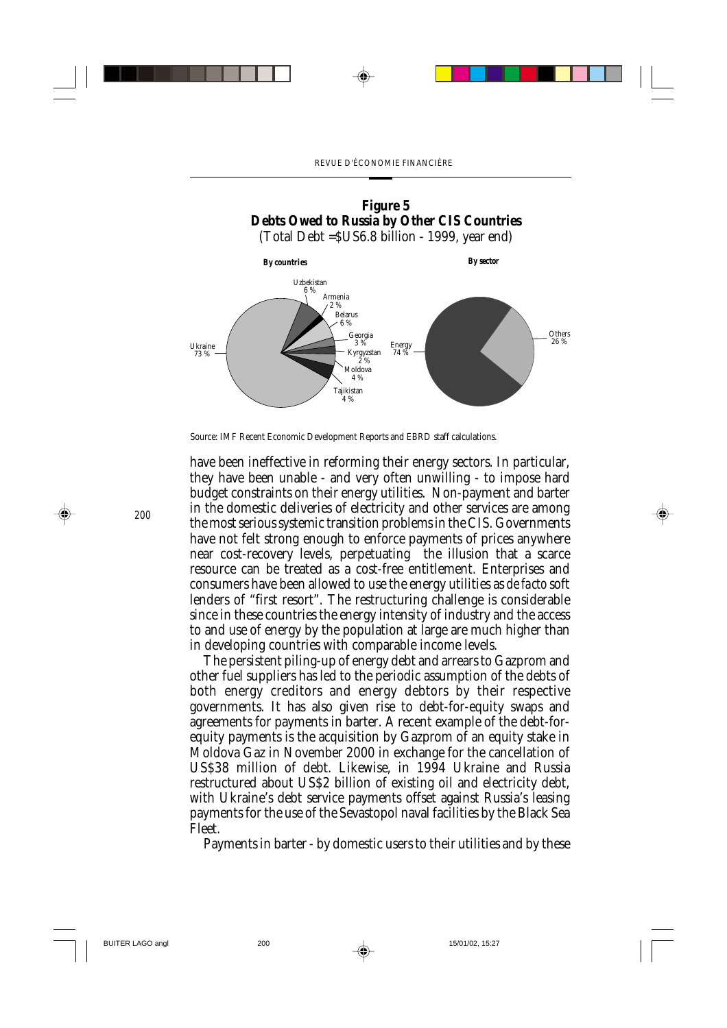

Source: IMF Recent Economic Development Reports and EBRD staff calculations.

have been ineffective in reforming their energy sectors. In particular, they have been unable - and very often unwilling - to impose hard budget constraints on their energy utilities. Non-payment and barter in the domestic deliveries of electricity and other services are among the most serious systemic transition problems in the CIS. Governments have not felt strong enough to enforce payments of prices anywhere near cost-recovery levels, perpetuating the illusion that a scarce resource can be treated as a cost-free entitlement. Enterprises and consumers have been allowed to use the energy utilities as *de facto* soft lenders of "first resort". The restructuring challenge is considerable since in these countries the energy intensity of industry and the access to and use of energy by the population at large are much higher than in developing countries with comparable income levels.

The persistent piling-up of energy debt and arrears to Gazprom and other fuel suppliers has led to the periodic assumption of the debts of both energy creditors and energy debtors by their respective governments. It has also given rise to debt-for-equity swaps and agreements for payments in barter. A recent example of the debt-forequity payments is the acquisition by Gazprom of an equity stake in Moldova Gaz in November 2000 in exchange for the cancellation of US\$38 million of debt. Likewise, in 1994 Ukraine and Russia restructured about US\$2 billion of existing oil and electricity debt, with Ukraine's debt service payments offset against Russia's leasing payments for the use of the Sevastopol naval facilities by the Black Sea Fleet.

Payments in barter - by domestic users to their utilities and by these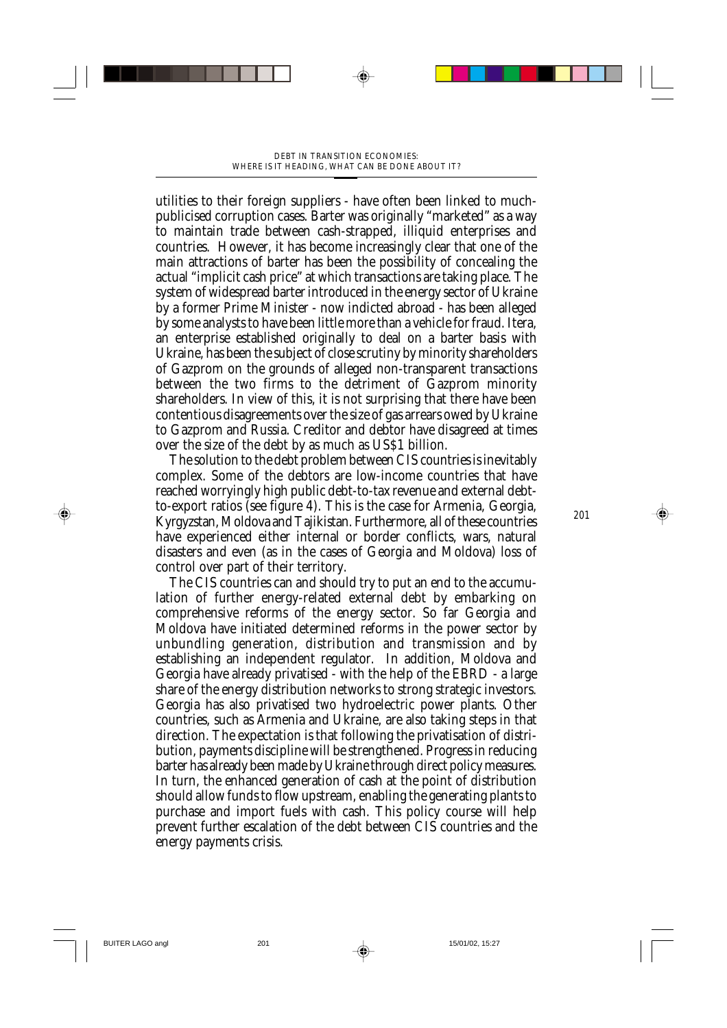utilities to their foreign suppliers - have often been linked to muchpublicised corruption cases. Barter was originally "marketed" as a way to maintain trade between cash-strapped, illiquid enterprises and countries. However, it has become increasingly clear that one of the main attractions of barter has been the possibility of concealing the actual "implicit cash price" at which transactions are taking place. The system of widespread barter introduced in the energy sector of Ukraine by a former Prime Minister - now indicted abroad - has been alleged by some analysts to have been little more than a vehicle for fraud. Itera, an enterprise established originally to deal on a barter basis with Ukraine, has been the subject of close scrutiny by minority shareholders of Gazprom on the grounds of alleged non-transparent transactions between the two firms to the detriment of Gazprom minority shareholders. In view of this, it is not surprising that there have been contentious disagreements over the size of gas arrears owed by Ukraine to Gazprom and Russia. Creditor and debtor have disagreed at times over the size of the debt by as much as US\$1 billion.

The solution to the debt problem between CIS countries is inevitably complex. Some of the debtors are low-income countries that have reached worryingly high public debt-to-tax revenue and external debtto-export ratios (see figure 4). This is the case for Armenia, Georgia, Kyrgyzstan, Moldova and Tajikistan. Furthermore, all of these countries have experienced either internal or border conflicts, wars, natural disasters and even (as in the cases of Georgia and Moldova) loss of control over part of their territory.

The CIS countries can and should try to put an end to the accumulation of further energy-related external debt by embarking on comprehensive reforms of the energy sector. So far Georgia and Moldova have initiated determined reforms in the power sector by unbundling generation, distribution and transmission and by establishing an independent regulator. In addition, Moldova and Georgia have already privatised - with the help of the EBRD - a large share of the energy distribution networks to strong strategic investors. Georgia has also privatised two hydroelectric power plants. Other countries, such as Armenia and Ukraine, are also taking steps in that direction. The expectation is that following the privatisation of distribution, payments discipline will be strengthened. Progress in reducing barter has already been made by Ukraine through direct policy measures. In turn, the enhanced generation of cash at the point of distribution should allow funds to flow upstream, enabling the generating plants to purchase and import fuels with cash. This policy course will help prevent further escalation of the debt between CIS countries and the energy payments crisis.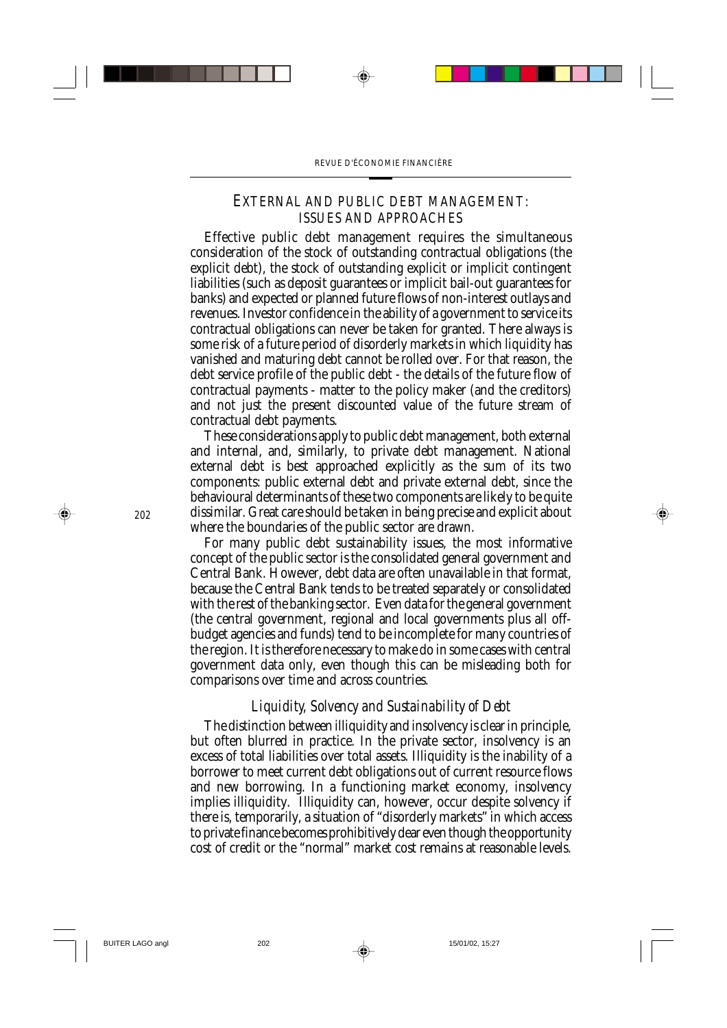#### *EXTERNAL AND PUBLIC DEBT MANAGEMENT: ISSUES AND APPROACHES*

Effective public debt management requires the simultaneous consideration of the stock of outstanding contractual obligations (the explicit debt), the stock of outstanding explicit or implicit contingent liabilities (such as deposit guarantees or implicit bail-out guarantees for banks) and expected or planned future flows of non-interest outlays and revenues. Investor confidence in the ability of a government to service its contractual obligations can never be taken for granted. There always is some risk of a future period of disorderly markets in which liquidity has vanished and maturing debt cannot be rolled over. For that reason, the debt service profile of the public debt - the details of the future flow of contractual payments - matter to the policy maker (and the creditors) and not just the present discounted value of the future stream of contractual debt payments.

These considerations apply to public debt management, both external and internal, and, similarly, to private debt management. National external debt is best approached explicitly as the sum of its two components: public external debt and private external debt, since the behavioural determinants of these two components are likely to be quite dissimilar. Great care should be taken in being precise and explicit about where the boundaries of the public sector are drawn.

For many public debt sustainability issues, the most informative concept of the public sector is the consolidated general government and Central Bank. However, debt data are often unavailable in that format, because the Central Bank tends to be treated separately or consolidated with the rest of the banking sector. Even data for the general government (the central government, regional and local governments plus all offbudget agencies and funds) tend to be incomplete for many countries of the region. It is therefore necessary to make do in some cases with central government data only, even though this can be misleading both for comparisons over time and across countries.

## *Liquidity, Solvency and Sustainability of Debt*

The distinction between illiquidity and insolvency is clear in principle, but often blurred in practice. In the private sector, insolvency is an excess of total liabilities over total assets. Illiquidity is the inability of a borrower to meet current debt obligations out of current resource flows and new borrowing. In a functioning market economy, insolvency implies illiquidity. Illiquidity can, however, occur despite solvency if there is, temporarily, a situation of "disorderly markets" in which access to private finance becomes prohibitively dear even though the opportunity cost of credit or the "normal" market cost remains at reasonable levels.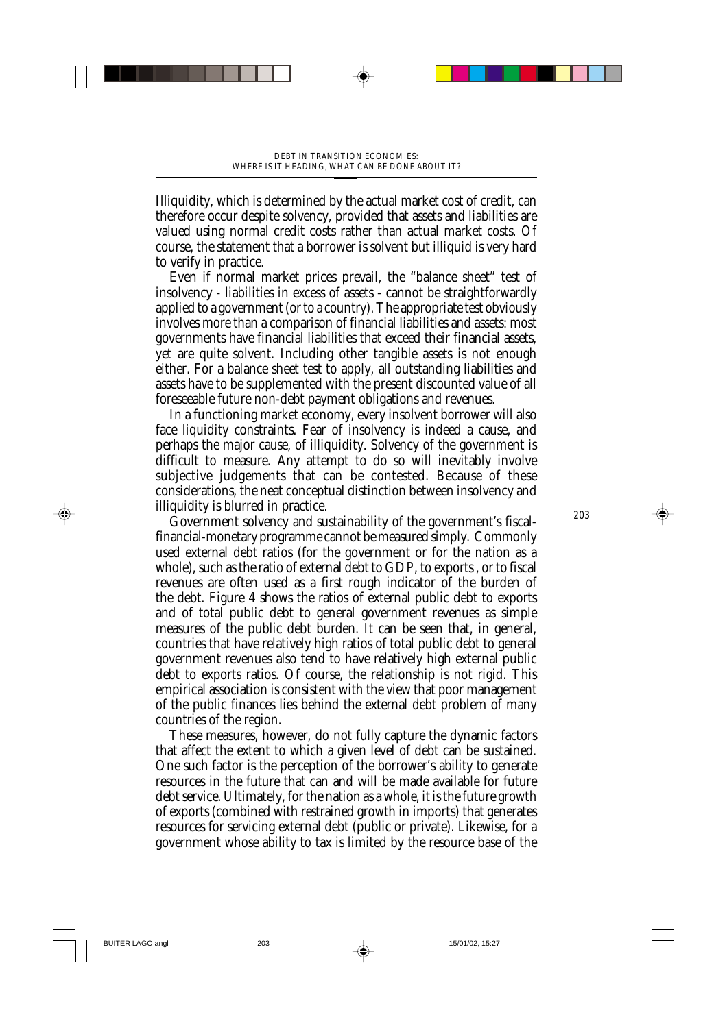Illiquidity, which is determined by the actual market cost of credit, can therefore occur despite solvency, provided that assets and liabilities are valued using normal credit costs rather than actual market costs. Of course, the statement that a borrower is solvent but illiquid is very hard to verify in practice.

Even if normal market prices prevail, the "balance sheet" test of insolvency - liabilities in excess of assets - cannot be straightforwardly applied to a government (or to a country). The appropriate test obviously involves more than a comparison of financial liabilities and assets: most governments have financial liabilities that exceed their financial assets, yet are quite solvent. Including other tangible assets is not enough either. For a balance sheet test to apply, all outstanding liabilities and assets have to be supplemented with the present discounted value of all foreseeable future non-debt payment obligations and revenues.

In a functioning market economy, every insolvent borrower will also face liquidity constraints. Fear of insolvency is indeed a cause, and perhaps the major cause, of illiquidity. Solvency of the government is difficult to measure. Any attempt to do so will inevitably involve subjective judgements that can be contested. Because of these considerations, the neat conceptual distinction between insolvency and illiquidity is blurred in practice.

Government solvency and sustainability of the government's fiscalfinancial-monetary programme cannot be measured simply. Commonly used external debt ratios (for the government or for the nation as a whole), such as the ratio of external debt to GDP, to exports , or to fiscal revenues are often used as a first rough indicator of the burden of the debt. Figure 4 shows the ratios of external public debt to exports and of total public debt to general government revenues as simple measures of the public debt burden. It can be seen that, in general, countries that have relatively high ratios of total public debt to general government revenues also tend to have relatively high external public debt to exports ratios. Of course, the relationship is not rigid. This empirical association is consistent with the view that poor management of the public finances lies behind the external debt problem of many countries of the region.

These measures, however, do not fully capture the dynamic factors that affect the extent to which a given level of debt can be sustained. One such factor is the perception of the borrower's ability to generate resources in the future that can and will be made available for future debt service. Ultimately, for the nation as a whole, it is the future growth of exports (combined with restrained growth in imports) that generates resources for servicing external debt (public or private). Likewise, for a government whose ability to tax is limited by the resource base of the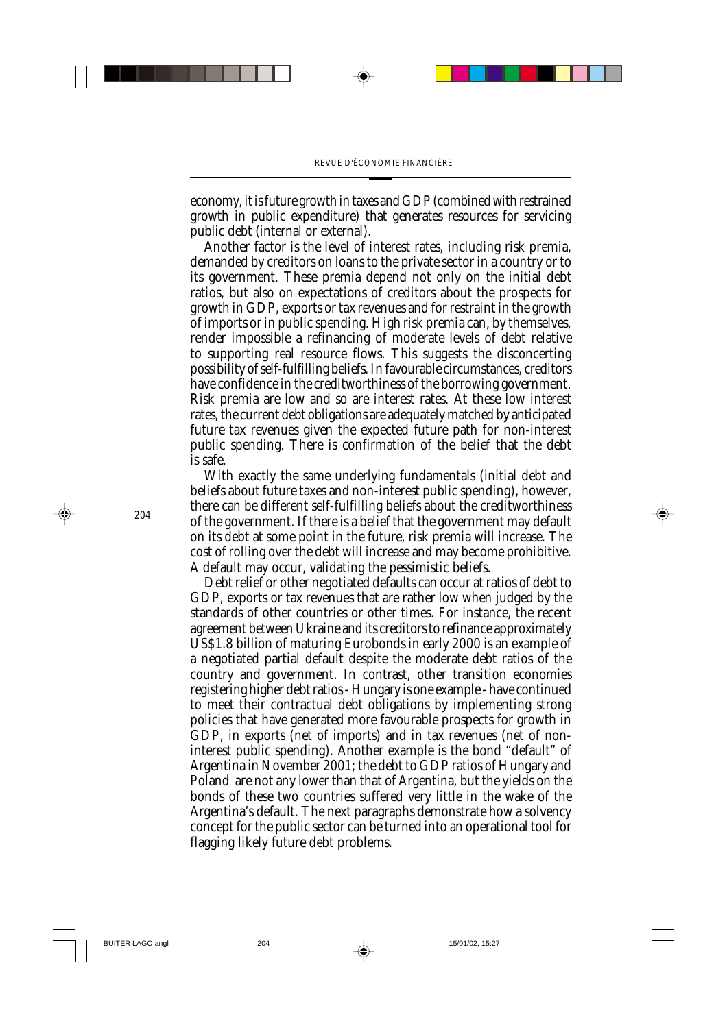economy, it is future growth in taxes and GDP (combined with restrained growth in public expenditure) that generates resources for servicing public debt (internal or external).

Another factor is the level of interest rates, including risk premia, demanded by creditors on loans to the private sector in a country or to its government. These premia depend not only on the initial debt ratios, but also on expectations of creditors about the prospects for growth in GDP, exports or tax revenues and for restraint in the growth of imports or in public spending. High risk premia can, by themselves, render impossible a refinancing of moderate levels of debt relative to supporting real resource flows. This suggests the disconcerting possibility of self-fulfilling beliefs. In favourable circumstances, creditors have confidence in the creditworthiness of the borrowing government. Risk premia are low and so are interest rates. At these low interest rates, the current debt obligations are adequately matched by anticipated future tax revenues given the expected future path for non-interest public spending. There is confirmation of the belief that the debt is safe.

With exactly the same underlying fundamentals (initial debt and beliefs about future taxes and non-interest public spending), however, there can be different self-fulfilling beliefs about the creditworthiness of the government. If there is a belief that the government may default on its debt at some point in the future, risk premia will increase. The cost of rolling over the debt will increase and may become prohibitive. A default may occur, validating the pessimistic beliefs.

Debt relief or other negotiated defaults can occur at ratios of debt to GDP, exports or tax revenues that are rather low when judged by the standards of other countries or other times. For instance, the recent agreement between Ukraine and its creditors to refinance approximately US\$1.8 billion of maturing Eurobonds in early 2000 is an example of a negotiated partial default despite the moderate debt ratios of the country and government. In contrast, other transition economies registering higher debt ratios - Hungary is one example - have continued to meet their contractual debt obligations by implementing strong policies that have generated more favourable prospects for growth in GDP, in exports (net of imports) and in tax revenues (net of noninterest public spending). Another example is the bond "default" of Argentina in November 2001; the debt to GDP ratios of Hungary and Poland are not any lower than that of Argentina, but the yields on the bonds of these two countries suffered very little in the wake of the Argentina's default. The next paragraphs demonstrate how a solvency concept for the public sector can be turned into an operational tool for flagging likely future debt problems.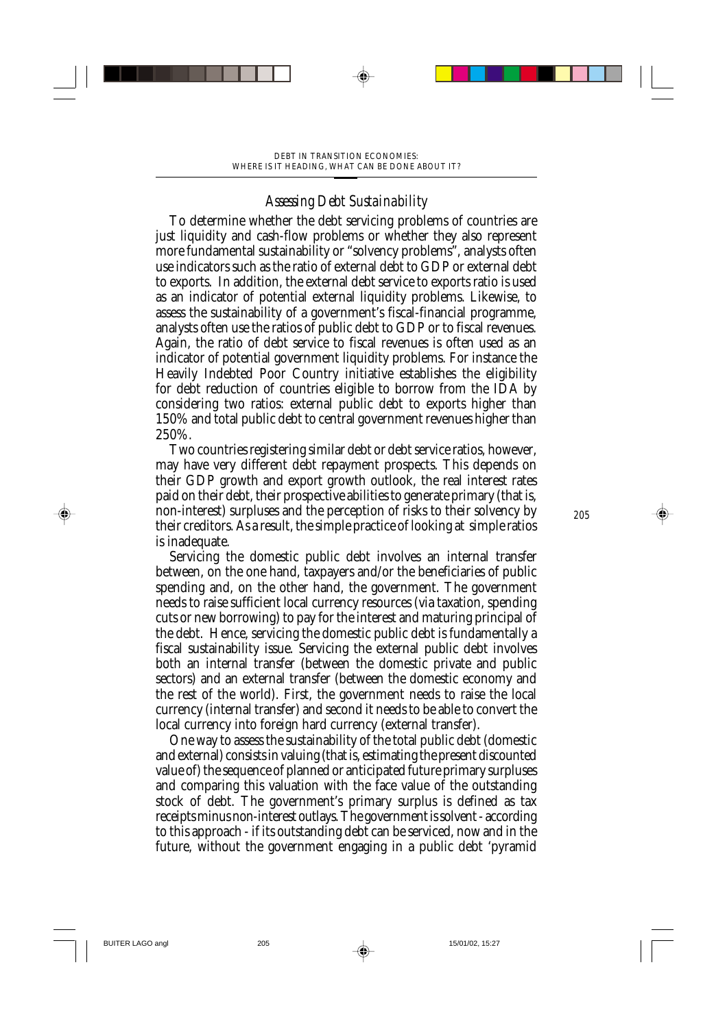## *Assessing Debt Sustainability*

To determine whether the debt servicing problems of countries are just liquidity and cash-flow problems or whether they also represent more fundamental sustainability or "solvency problems", analysts often use indicators such as the ratio of external debt to GDP or external debt to exports. In addition, the external debt service to exports ratio is used as an indicator of potential external liquidity problems. Likewise, to assess the sustainability of a government's fiscal-financial programme, analysts often use the ratios of public debt to GDP or to fiscal revenues. Again, the ratio of debt service to fiscal revenues is often used as an indicator of potential government liquidity problems. For instance the Heavily Indebted Poor Country initiative establishes the eligibility for debt reduction of countries eligible to borrow from the IDA by considering two ratios: external public debt to exports higher than 150% and total public debt to central government revenues higher than 250%.

Two countries registering similar debt or debt service ratios, however, may have very different debt repayment prospects. This depends on their GDP growth and export growth outlook, the real interest rates paid on their debt, their prospective abilities to generate primary (that is, non-interest) surpluses and the perception of risks to their solvency by their creditors. As a result, the simple practice of looking at simple ratios is inadequate.

Servicing the domestic public debt involves an internal transfer between, on the one hand, taxpayers and/or the beneficiaries of public spending and, on the other hand, the government. The government needs to raise sufficient local currency resources (via taxation, spending cuts or new borrowing) to pay for the interest and maturing principal of the debt. Hence, servicing the domestic public debt is fundamentally a fiscal sustainability issue. Servicing the external public debt involves both an internal transfer (between the domestic private and public sectors) and an external transfer (between the domestic economy and the rest of the world). First, the government needs to raise the local currency (internal transfer) and second it needs to be able to convert the local currency into foreign hard currency (external transfer).

One way to assess the sustainability of the total public debt (domestic and external) consists in valuing (that is, estimating the present discounted value of) the sequence of planned or anticipated future primary surpluses and comparing this valuation with the face value of the outstanding stock of debt. The government's primary surplus is defined as tax receipts minus non-interest outlays. The government is solvent - according to this approach - if its outstanding debt can be serviced, now and in the future, without the government engaging in a public debt 'pyramid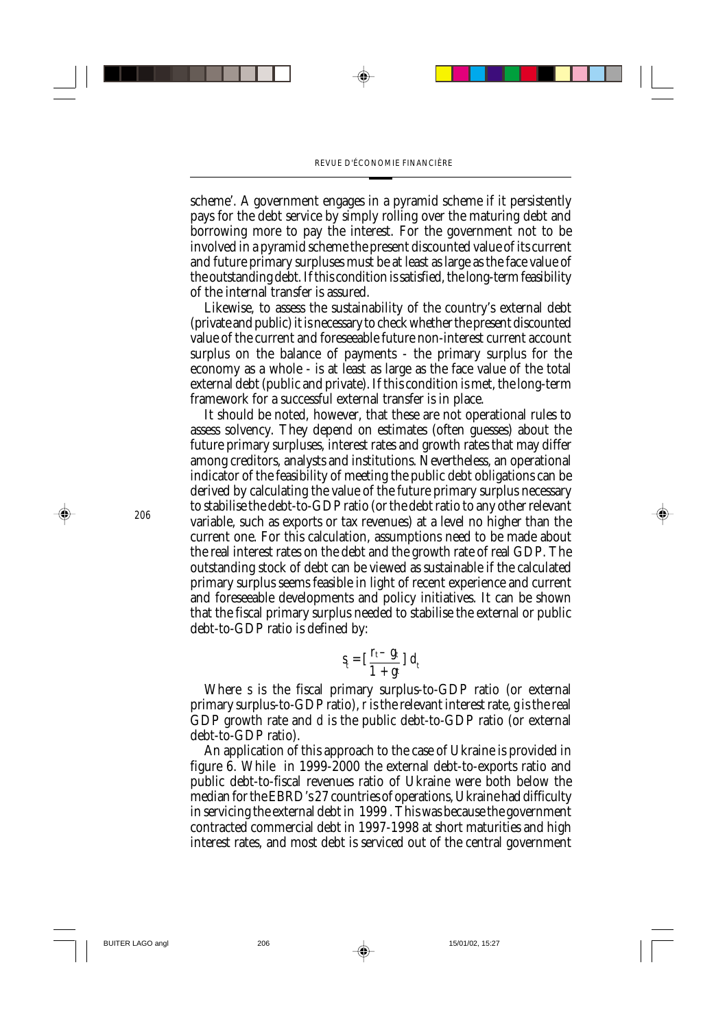scheme'. A government engages in a pyramid scheme if it persistently pays for the debt service by simply rolling over the maturing debt and borrowing more to pay the interest. For the government not to be involved in a pyramid scheme the present discounted value of its current and future primary surpluses must be at least as large as the face value of the outstanding debt. If this condition is satisfied, the long-term feasibility of the internal transfer is assured.

Likewise, to assess the sustainability of the country's external debt (private and public) it is necessary to check whether the present discounted value of the current and foreseeable future non-interest current account surplus on the balance of payments - the primary surplus for the economy as a whole - is at least as large as the face value of the total external debt (public and private). If this condition is met, the long-term framework for a successful external transfer is in place.

It should be noted, however, that these are not operational rules to assess solvency. They depend on estimates (often guesses) about the future primary surpluses, interest rates and growth rates that may differ among creditors, analysts and institutions. Nevertheless, an operational indicator of the feasibility of meeting the public debt obligations can be derived by calculating the value of the future primary surplus necessary to stabilise the debt-to-GDP ratio (or the debt ratio to any other relevant variable, such as exports or tax revenues) at a level no higher than the current one. For this calculation, assumptions need to be made about the real interest rates on the debt and the growth rate of real GDP. The outstanding stock of debt can be viewed as sustainable if the calculated primary surplus seems feasible in light of recent experience and current and foreseeable developments and policy initiatives. It can be shown that the fiscal primary surplus needed to stabilise the external or public debt-to-GDP ratio is defined by:

$$
S_t = \left[\frac{r_t - g_t}{1 + g_t}\right] d_t
$$

Where *s* is the fiscal primary surplus-to-GDP ratio (or external primary surplus-to-GDP ratio), *r* is the relevant interest rate, *g* is the real GDP growth rate and *d* is the public debt-to-GDP ratio (or external debt-to-GDP ratio).

An application of this approach to the case of Ukraine is provided in figure 6. While in 1999-2000 the external debt-to-exports ratio and public debt-to-fiscal revenues ratio of Ukraine were both below the median for the EBRD's 27 countries of operations, Ukraine had difficulty in servicing the external debt in 1999 . This was because the government contracted commercial debt in 1997-1998 at short maturities and high interest rates, and most debt is serviced out of the central government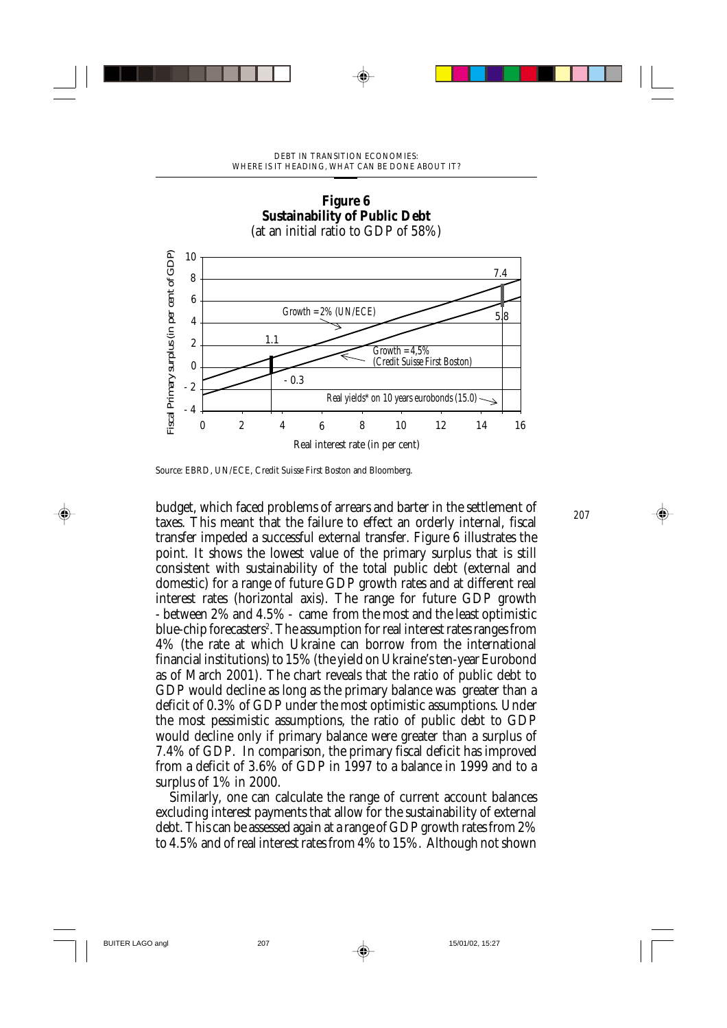

# **Figure 6**

Source: EBRD, UN/ECE, Credit Suisse First Boston and Bloomberg.

*<sup>207</sup>* budget, which faced problems of arrears and barter in the settlement of taxes. This meant that the failure to effect an orderly internal, fiscal transfer impeded a successful external transfer. Figure 6 illustrates the point. It shows the lowest value of the primary surplus that is still consistent with sustainability of the total public debt (external and domestic) for a range of future GDP growth rates and at different real interest rates (horizontal axis). The range for future GDP growth - between 2% and 4.5% - came from the most and the least optimistic blue-chip forecasters<sup>2</sup>. The assumption for real interest rates ranges from 4% (the rate at which Ukraine can borrow from the international financial institutions) to 15% (the yield on Ukraine's ten-year Eurobond as of March 2001). The chart reveals that the ratio of public debt to GDP would decline as long as the primary balance was greater than a deficit of 0.3% of GDP under the most optimistic assumptions. Under the most pessimistic assumptions, the ratio of public debt to GDP would decline only if primary balance were greater than a surplus of 7.4% of GDP. In comparison, the primary fiscal deficit has improved from a deficit of 3.6% of GDP in 1997 to a balance in 1999 and to a surplus of 1% in 2000.

Similarly, one can calculate the range of current account balances excluding interest payments that allow for the sustainability of external debt. This can be assessed again at a range of GDP growth rates from 2% to 4.5% and of real interest rates from 4% to 15%. Although not shown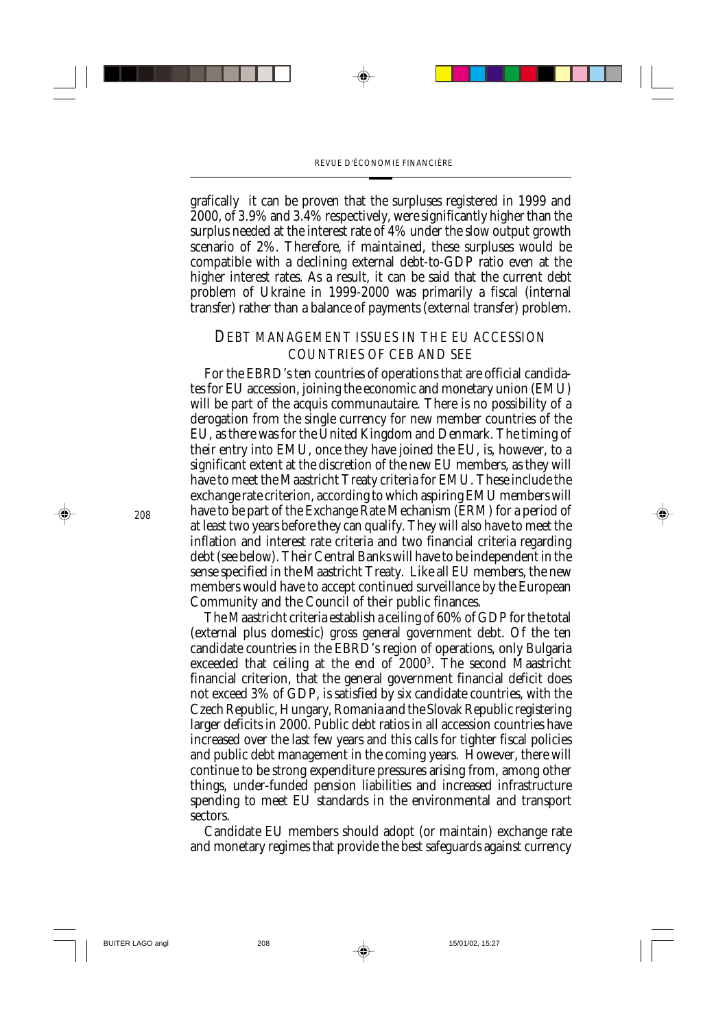grafically it can be proven that the surpluses registered in 1999 and 2000, of 3.9% and 3.4% respectively, were significantly higher than the surplus needed at the interest rate of 4% under the slow output growth scenario of 2%. Therefore, if maintained, these surpluses would be compatible with a declining external debt-to-GDP ratio even at the higher interest rates. As a result, it can be said that the current debt problem of Ukraine in 1999-2000 was primarily a fiscal (internal transfer) rather than a balance of payments (external transfer) problem.

#### *DEBT MANAGEMENT ISSUES IN THE EU ACCESSION COUNTRIES OF CEB AND SEE*

For the EBRD's ten countries of operations that are official candidates for EU accession, joining the economic and monetary union (EMU) will be part of the acquis communautaire. There is no possibility of a derogation from the single currency for new member countries of the EU, as there was for the United Kingdom and Denmark. The timing of their entry into EMU, once they have joined the EU, is, however, to a significant extent at the discretion of the new EU members, as they will have to meet the Maastricht Treaty criteria for EMU. These include the exchange rate criterion, according to which aspiring EMU members will have to be part of the Exchange Rate Mechanism (ERM) for a period of at least two years before they can qualify. They will also have to meet the inflation and interest rate criteria and two financial criteria regarding debt (see below). Their Central Banks will have to be independent in the sense specified in the Maastricht Treaty. Like all EU members, the new members would have to accept continued surveillance by the European Community and the Council of their public finances.

The Maastricht criteria establish a ceiling of 60% of GDP for the total (external plus domestic) gross general government debt. Of the ten candidate countries in the EBRD's region of operations, only Bulgaria exceeded that ceiling at the end of 20003 . The second Maastricht financial criterion, that the general government financial deficit does not exceed 3% of GDP, is satisfied by six candidate countries, with the Czech Republic, Hungary, Romania and the Slovak Republic registering larger deficits in 2000. Public debt ratios in all accession countries have increased over the last few years and this calls for tighter fiscal policies and public debt management in the coming years. However, there will continue to be strong expenditure pressures arising from, among other things, under-funded pension liabilities and increased infrastructure spending to meet EU standards in the environmental and transport sectors.

Candidate EU members should adopt (or maintain) exchange rate and monetary regimes that provide the best safeguards against currency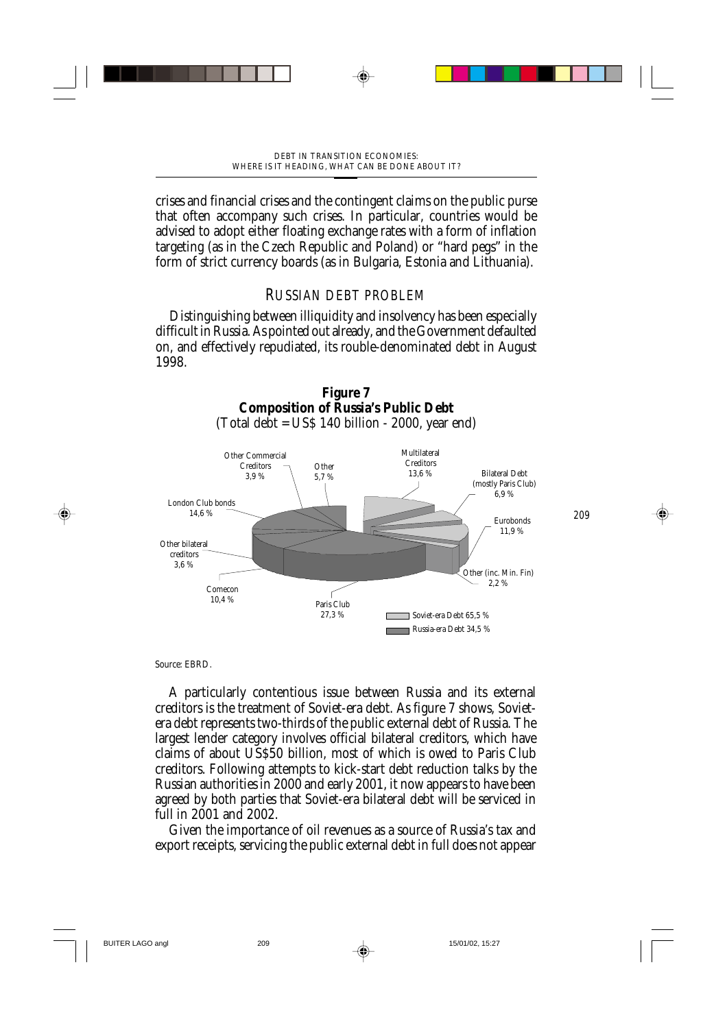crises and financial crises and the contingent claims on the public purse that often accompany such crises. In particular, countries would be advised to adopt either floating exchange rates with a form of inflation targeting (as in the Czech Republic and Poland) or "hard pegs" in the form of strict currency boards (as in Bulgaria, Estonia and Lithuania).

# *RUSSIAN DEBT PROBLEM*

Distinguishing between illiquidity and insolvency has been especially difficult in Russia. As pointed out already, and the Government defaulted on, and effectively repudiated, its rouble-denominated debt in August 1998.



Source: EBRD.

A particularly contentious issue between Russia and its external creditors is the treatment of Soviet-era debt. As figure 7 shows, Sovietera debt represents two-thirds of the public external debt of Russia. The largest lender category involves official bilateral creditors, which have claims of about US\$50 billion, most of which is owed to Paris Club creditors. Following attempts to kick-start debt reduction talks by the Russian authorities in 2000 and early 2001, it now appears to have been agreed by both parties that Soviet-era bilateral debt will be serviced in full in 2001 and 2002.

Given the importance of oil revenues as a source of Russia's tax and export receipts, servicing the public external debt in full does not appear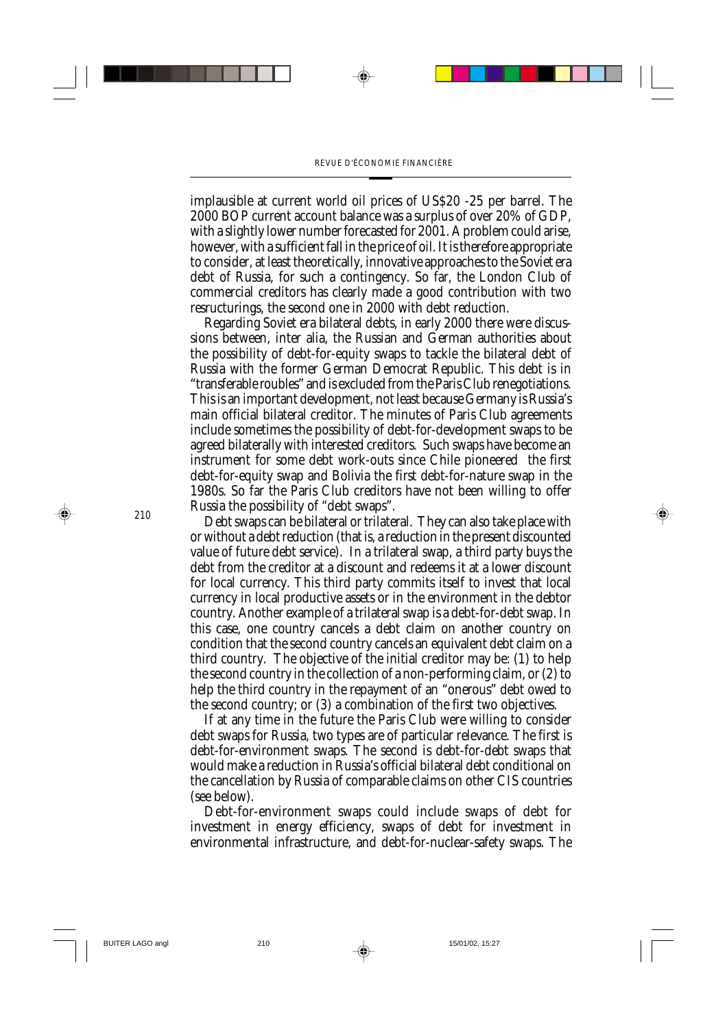implausible at current world oil prices of US\$20 -25 per barrel. The 2000 BOP current account balance was a surplus of over 20% of GDP, with a slightly lower number forecasted for 2001. A problem could arise, however, with a sufficient fall in the price of oil. It is therefore appropriate to consider, at least theoretically, innovative approaches to the Soviet era debt of Russia, for such a contingency. So far, the London Club of commercial creditors has clearly made a good contribution with two resructurings, the second one in 2000 with debt reduction.

Regarding Soviet era bilateral debts, in early 2000 there were discussions between, inter alia, the Russian and German authorities about the possibility of debt-for-equity swaps to tackle the bilateral debt of Russia with the former German Democrat Republic. This debt is in "transferable roubles" and is excluded from the Paris Club renegotiations. This is an important development, not least because Germany is Russia's main official bilateral creditor. The minutes of Paris Club agreements include sometimes the possibility of debt-for-development swaps to be agreed bilaterally with interested creditors. Such swaps have become an instrument for some debt work-outs since Chile pioneered the first debt-for-equity swap and Bolivia the first debt-for-nature swap in the 1980s. So far the Paris Club creditors have not been willing to offer Russia the possibility of "debt swaps".

Debt swaps can be bilateral or trilateral. They can also take place with or without a debt reduction (that is, a reduction in the present discounted value of future debt service). In a trilateral swap, a third party buys the debt from the creditor at a discount and redeems it at a lower discount for local currency. This third party commits itself to invest that local currency in local productive assets or in the environment in the debtor country. Another example of a trilateral swap is a debt-for-debt swap. In this case, one country cancels a debt claim on another country on condition that the second country cancels an equivalent debt claim on a third country. The objective of the initial creditor may be: (1) to help the second country in the collection of a non-performing claim, or (2) to help the third country in the repayment of an "onerous" debt owed to the second country; or (3) a combination of the first two objectives.

If at any time in the future the Paris Club were willing to consider debt swaps for Russia, two types are of particular relevance. The first is debt-for-environment swaps. The second is debt-for-debt swaps that would make a reduction in Russia's official bilateral debt conditional on the cancellation by Russia of comparable claims on other CIS countries (see below).

Debt-for-environment swaps could include swaps of debt for investment in energy efficiency, swaps of debt for investment in environmental infrastructure, and debt-for-nuclear-safety swaps. The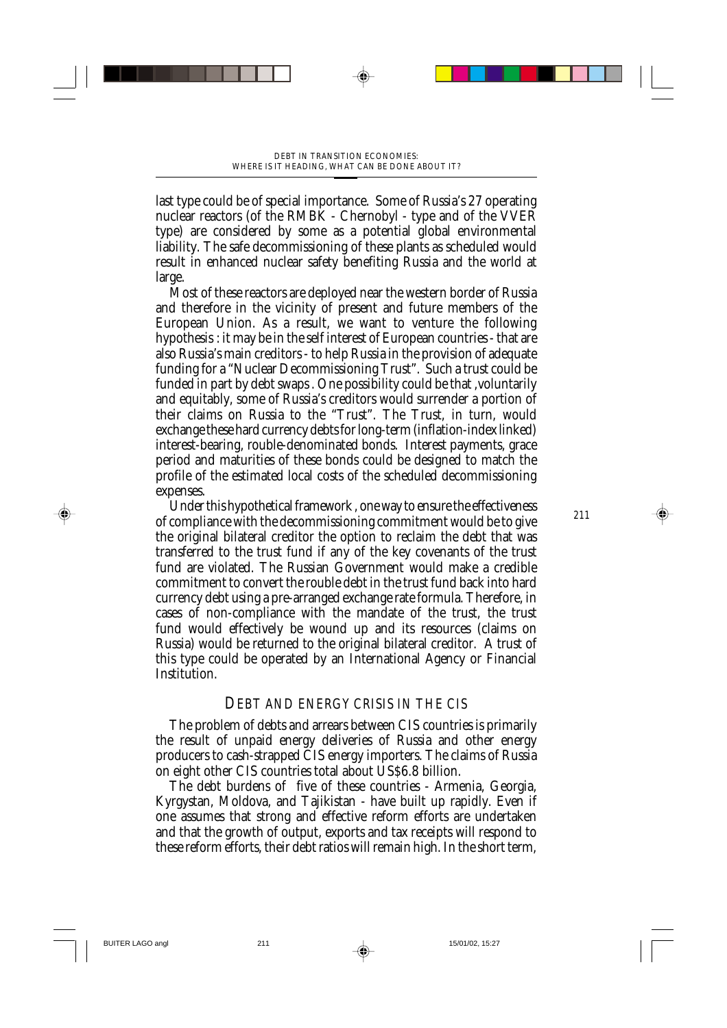last type could be of special importance. Some of Russia's 27 operating nuclear reactors (of the RMBK - Chernobyl - type and of the VVER type) are considered by some as a potential global environmental liability. The safe decommissioning of these plants as scheduled would result in enhanced nuclear safety benefiting Russia and the world at large.

Most of these reactors are deployed near the western border of Russia and therefore in the vicinity of present and future members of the European Union. As a result, we want to venture the following hypothesis : it may be in the self interest of European countries - that are also Russia's main creditors - to help Russia in the provision of adequate funding for a "Nuclear Decommissioning Trust". Such a trust could be funded in part by debt swaps . One possibility could be that ,voluntarily and equitably, some of Russia's creditors would surrender a portion of their claims on Russia to the "Trust". The Trust, in turn, would exchange these hard currency debts for long-term (inflation-index linked) interest-bearing, rouble-denominated bonds. Interest payments, grace period and maturities of these bonds could be designed to match the profile of the estimated local costs of the scheduled decommissioning expenses.

Under this hypothetical framework , one way to ensure the effectiveness of compliance with the decommissioning commitment would be to give the original bilateral creditor the option to reclaim the debt that was transferred to the trust fund if any of the key covenants of the trust fund are violated. The Russian Government would make a credible commitment to convert the rouble debt in the trust fund back into hard currency debt using a pre-arranged exchange rate formula. Therefore, in cases of non-compliance with the mandate of the trust, the trust fund would effectively be wound up and its resources (claims on Russia) would be returned to the original bilateral creditor. A trust of this type could be operated by an International Agency or Financial Institution.

#### *DEBT AND ENERGY CRISIS IN THE CIS*

The problem of debts and arrears between CIS countries is primarily the result of unpaid energy deliveries of Russia and other energy producers to cash-strapped CIS energy importers. The claims of Russia on eight other CIS countries total about US\$6.8 billion.

The debt burdens of five of these countries - Armenia, Georgia, Kyrgystan, Moldova, and Tajikistan - have built up rapidly. Even if one assumes that strong and effective reform efforts are undertaken and that the growth of output, exports and tax receipts will respond to these reform efforts, their debt ratios will remain high. In the short term,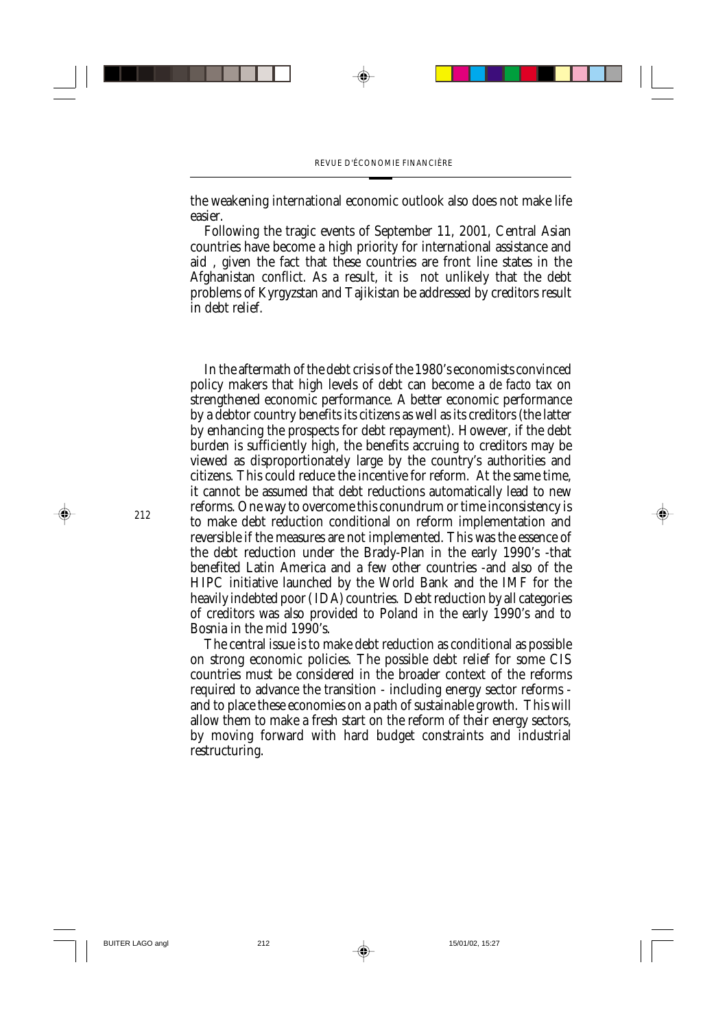the weakening international economic outlook also does not make life easier.

Following the tragic events of September 11, 2001, Central Asian countries have become a high priority for international assistance and aid , given the fact that these countries are front line states in the Afghanistan conflict. As a result, it is not unlikely that the debt problems of Kyrgyzstan and Tajikistan be addressed by creditors result in debt relief.

In the aftermath of the debt crisis of the 1980's economists convinced policy makers that high levels of debt can become a *de facto* tax on strengthened economic performance. A better economic performance by a debtor country benefits its citizens as well as its creditors (the latter by enhancing the prospects for debt repayment). However, if the debt burden is sufficiently high, the benefits accruing to creditors may be viewed as disproportionately large by the country's authorities and citizens. This could reduce the incentive for reform. At the same time, it cannot be assumed that debt reductions automatically lead to new reforms. One way to overcome this conundrum or time inconsistency is to make debt reduction conditional on reform implementation and reversible if the measures are not implemented. This was the essence of the debt reduction under the Brady-Plan in the early 1990's -that benefited Latin America and a few other countries -and also of the HIPC initiative launched by the World Bank and the IMF for the heavily indebted poor ( IDA) countries. Debt reduction by all categories of creditors was also provided to Poland in the early 1990's and to Bosnia in the mid 1990's.

The central issue is to make debt reduction as conditional as possible on strong economic policies. The possible debt relief for some CIS countries must be considered in the broader context of the reforms required to advance the transition - including energy sector reforms and to place these economies on a path of sustainable growth. This will allow them to make a fresh start on the reform of their energy sectors, by moving forward with hard budget constraints and industrial restructuring.